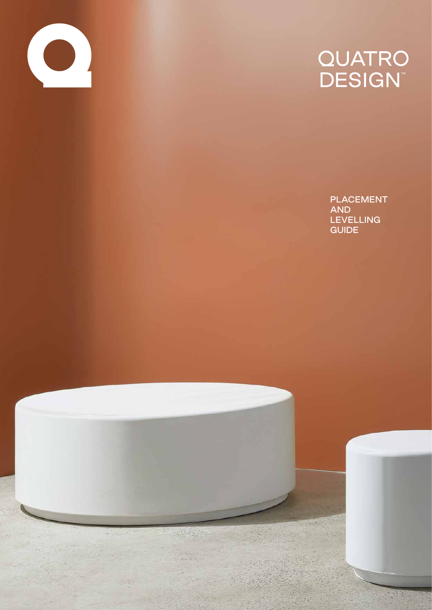

# QUATRO<br>DESIGN™

PLACEMENT AND **LEVELLING** GUIDE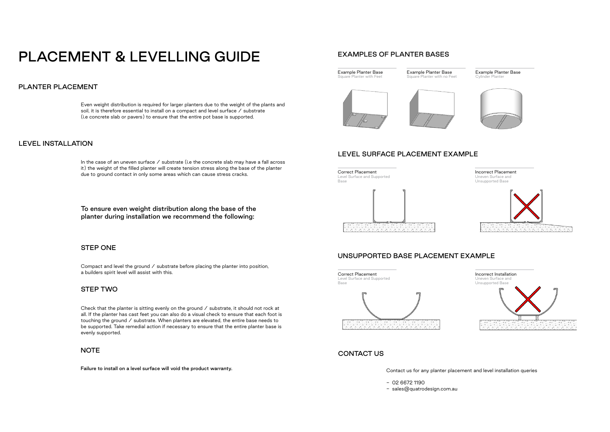## PLACEMENT & LEVELLING GUIDE

## PLANTER PLACEMENT

Even weight distribution is required for larger planters due to the weight of the plants and soil, it is therefore essential to install on a compact and level surface / substrate (i.e concrete slab or pavers) to ensure that the entire pot base is supported.

In the case of an uneven surface  $\angle$  substrate (i.e the concrete slab may have a fall across it) the weight of the filled planter will create tension stress along the base of the planter due to ground contact in only some areas which can cause stress cracks.

#### LEVEL INSTALLATION

#### STEP ONE

#### STEP TWO

Compact and level the ground / substrate before placing the planter into position, a builders spirit level will assist with this.

Check that the planter is sitting evenly on the ground  $\angle$  substrate, it should not rock at all. If the planter has cast feet you can also do a visual check to ensure that each foot is touching the ground / substrate. When planters are elevated, the entire base needs to be supported. Take remedial action if necessary to ensure that the entire planter base is evenly supported.

#### **NOTE**

To ensure even weight distribution along the base of the planter during installation we recommend the following:

Failure to install on a level surface will void the product warranty.

#### EXAMPLES OF PLANTER BASES

#### LEVEL SURFACE PLACEMENT EXAMPLE

## UNSUPPORTED BASE PLACEMENT EXAMPLE

#### Contact us for any planter placement and level installation queries

- 02 6672 1190

- sales@quatrodesign.com.au

#### CONTACT US

Example Planter Base Square Planter with Feet





Example Planter Base Square Planter with no Feet





Example Planter Base Cylinder Planter